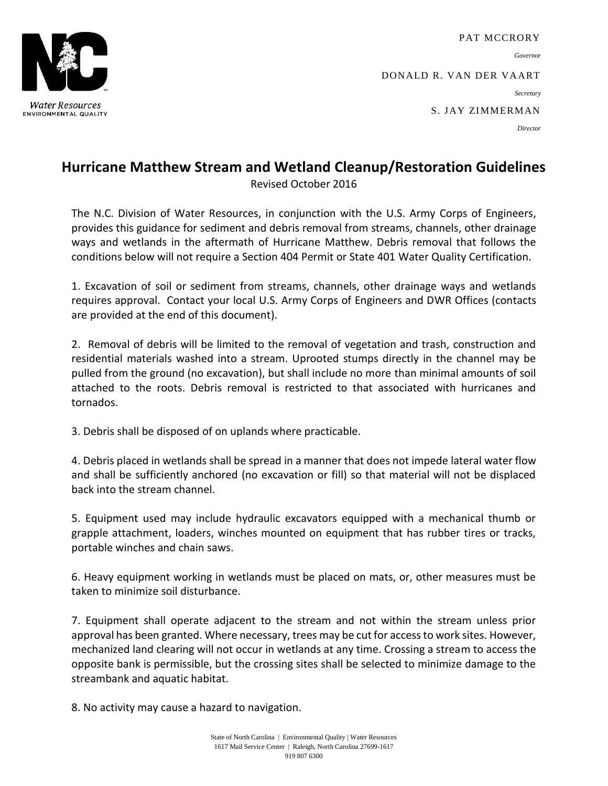**Water Resources** ENVIRONMENTAL QUALITY

PAT MCCRORY

*Governor*

DONALD R. VAN DER VAART

*Secretary*

S. JAY ZIMMERMAN

*Director*

## **Hurricane Matthew Stream and Wetland Cleanup/Restoration Guidelines**

Revised October 2016

The N.C. Division of Water Resources, in conjunction with the U.S. Army Corps of Engineers, provides this guidance for sediment and debris removal from streams, channels, other drainage ways and wetlands in the aftermath of Hurricane Matthew. Debris removal that follows the conditions below will not require a Section 404 Permit or State 401 Water Quality Certification.

1. Excavation of soil or sediment from streams, channels, other drainage ways and wetlands requires approval. Contact your local U.S. Army Corps of Engineers and DWR Offices (contacts are provided at the end of this document).

2. Removal of debris will be limited to the removal of vegetation and trash, construction and residential materials washed into a stream. Uprooted stumps directly in the channel may be pulled from the ground (no excavation), but shall include no more than minimal amounts of soil attached to the roots. Debris removal is restricted to that associated with hurricanes and tornados.

3. Debris shall be disposed of on uplands where practicable.

4. Debris placed in wetlands shall be spread in a manner that does not impede lateral water flow and shall be sufficiently anchored (no excavation or fill) so that material will not be displaced back into the stream channel.

5. Equipment used may include hydraulic excavators equipped with a mechanical thumb or grapple attachment, loaders, winches mounted on equipment that has rubber tires or tracks, portable winches and chain saws.

6. Heavy equipment working in wetlands must be placed on mats, or, other measures must be taken to minimize soil disturbance.

7. Equipment shall operate adjacent to the stream and not within the stream unless prior approval has been granted. Where necessary, trees may be cut for access to work sites. However, mechanized land clearing will not occur in wetlands at any time. Crossing a stream to access the opposite bank is permissible, but the crossing sites shall be selected to minimize damage to the streambank and aquatic habitat.

8. No activity may cause a hazard to navigation.